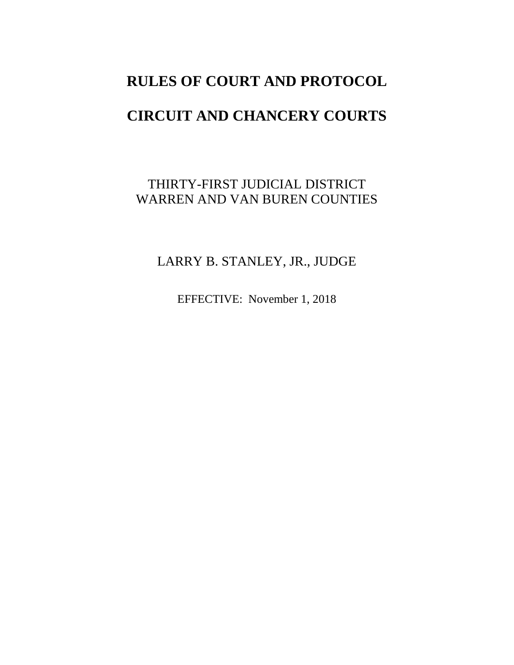# **RULES OF COURT AND PROTOCOL**

# **CIRCUIT AND CHANCERY COURTS**

# THIRTY-FIRST JUDICIAL DISTRICT WARREN AND VAN BUREN COUNTIES

# LARRY B. STANLEY, JR., JUDGE

EFFECTIVE: November 1, 2018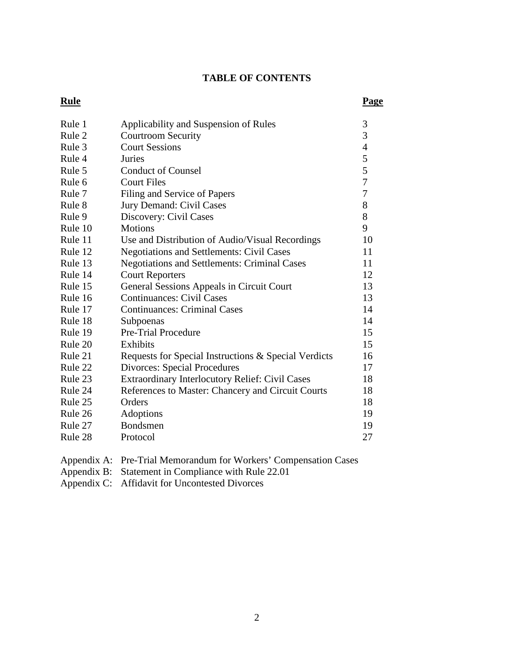# **TABLE OF CONTENTS**

#### **Rule Page**

| Rule 1  | Applicability and Suspension of Rules                  | 3              |
|---------|--------------------------------------------------------|----------------|
| Rule 2  | <b>Courtroom Security</b>                              | 3              |
| Rule 3  | <b>Court Sessions</b>                                  | $\overline{4}$ |
| Rule 4  | Juries                                                 | 5              |
| Rule 5  | <b>Conduct of Counsel</b>                              | 5              |
| Rule 6  | <b>Court Files</b>                                     | $\overline{7}$ |
| Rule 7  | Filing and Service of Papers                           | $\overline{7}$ |
| Rule 8  | Jury Demand: Civil Cases                               | 8              |
| Rule 9  | Discovery: Civil Cases                                 | 8              |
| Rule 10 | <b>Motions</b>                                         | 9              |
| Rule 11 | Use and Distribution of Audio/Visual Recordings        | 10             |
| Rule 12 | <b>Negotiations and Settlements: Civil Cases</b>       | 11             |
| Rule 13 | <b>Negotiations and Settlements: Criminal Cases</b>    | 11             |
| Rule 14 | <b>Court Reporters</b>                                 | 12             |
| Rule 15 | General Sessions Appeals in Circuit Court              | 13             |
| Rule 16 | <b>Continuances: Civil Cases</b>                       | 13             |
| Rule 17 | <b>Continuances: Criminal Cases</b>                    | 14             |
| Rule 18 | Subpoenas                                              | 14             |
| Rule 19 | Pre-Trial Procedure                                    | 15             |
| Rule 20 | Exhibits                                               | 15             |
| Rule 21 | Requests for Special Instructions & Special Verdicts   | 16             |
| Rule 22 | <b>Divorces: Special Procedures</b>                    | 17             |
| Rule 23 | <b>Extraordinary Interlocutory Relief: Civil Cases</b> | 18             |
| Rule 24 | References to Master: Chancery and Circuit Courts      | 18             |
| Rule 25 | Orders                                                 | 18             |
| Rule 26 | Adoptions                                              | 19             |
| Rule 27 | Bondsmen                                               | 19             |
| Rule 28 | Protocol                                               | 27             |
|         |                                                        |                |

Appendix A: Pre-Trial Memorandum for Workers' Compensation Cases

Appendix B: Statement in Compliance with Rule 22.01

Appendix C: Affidavit for Uncontested Divorces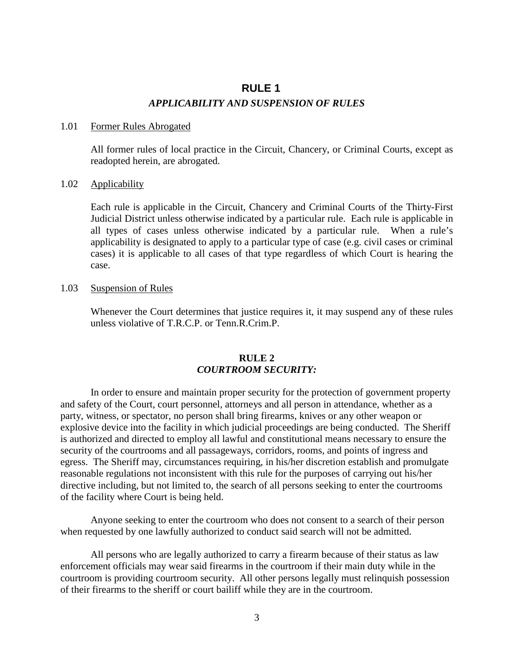# **RULE 1** *APPLICABILITY AND SUSPENSION OF RULES*

#### 1.01 Former Rules Abrogated

All former rules of local practice in the Circuit, Chancery, or Criminal Courts, except as readopted herein, are abrogated.

### 1.02 Applicability

Each rule is applicable in the Circuit, Chancery and Criminal Courts of the Thirty-First Judicial District unless otherwise indicated by a particular rule. Each rule is applicable in all types of cases unless otherwise indicated by a particular rule. When a rule's applicability is designated to apply to a particular type of case (e.g. civil cases or criminal cases) it is applicable to all cases of that type regardless of which Court is hearing the case.

# 1.03 Suspension of Rules

Whenever the Court determines that justice requires it, it may suspend any of these rules unless violative of T.R.C.P. or Tenn.R.Crim.P.

# **RULE 2** *COURTROOM SECURITY:*

In order to ensure and maintain proper security for the protection of government property and safety of the Court, court personnel, attorneys and all person in attendance, whether as a party, witness, or spectator, no person shall bring firearms, knives or any other weapon or explosive device into the facility in which judicial proceedings are being conducted. The Sheriff is authorized and directed to employ all lawful and constitutional means necessary to ensure the security of the courtrooms and all passageways, corridors, rooms, and points of ingress and egress. The Sheriff may, circumstances requiring, in his/her discretion establish and promulgate reasonable regulations not inconsistent with this rule for the purposes of carrying out his/her directive including, but not limited to, the search of all persons seeking to enter the courtrooms of the facility where Court is being held.

Anyone seeking to enter the courtroom who does not consent to a search of their person when requested by one lawfully authorized to conduct said search will not be admitted.

All persons who are legally authorized to carry a firearm because of their status as law enforcement officials may wear said firearms in the courtroom if their main duty while in the courtroom is providing courtroom security. All other persons legally must relinquish possession of their firearms to the sheriff or court bailiff while they are in the courtroom.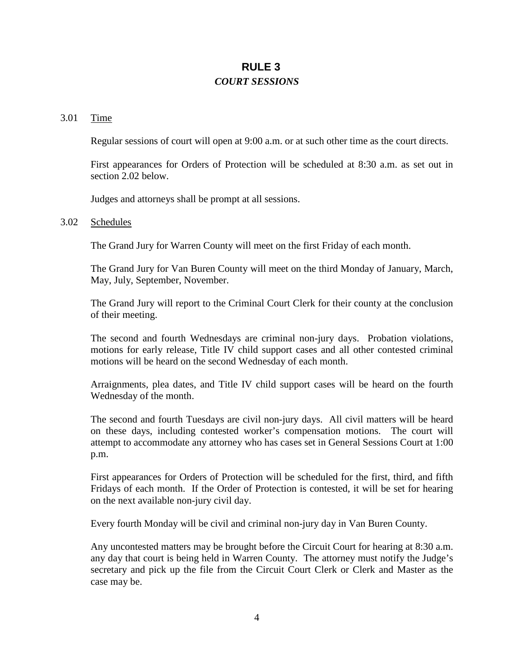# **RULE 3** *COURT SESSIONS*

#### 3.01 Time

Regular sessions of court will open at 9:00 a.m. or at such other time as the court directs.

First appearances for Orders of Protection will be scheduled at 8:30 a.m. as set out in section 2.02 below.

Judges and attorneys shall be prompt at all sessions.

#### 3.02 Schedules

The Grand Jury for Warren County will meet on the first Friday of each month.

The Grand Jury for Van Buren County will meet on the third Monday of January, March, May, July, September, November.

The Grand Jury will report to the Criminal Court Clerk for their county at the conclusion of their meeting.

The second and fourth Wednesdays are criminal non-jury days. Probation violations, motions for early release, Title IV child support cases and all other contested criminal motions will be heard on the second Wednesday of each month.

Arraignments, plea dates, and Title IV child support cases will be heard on the fourth Wednesday of the month.

The second and fourth Tuesdays are civil non-jury days. All civil matters will be heard on these days, including contested worker's compensation motions. The court will attempt to accommodate any attorney who has cases set in General Sessions Court at 1:00 p.m.

First appearances for Orders of Protection will be scheduled for the first, third, and fifth Fridays of each month. If the Order of Protection is contested, it will be set for hearing on the next available non-jury civil day.

Every fourth Monday will be civil and criminal non-jury day in Van Buren County.

Any uncontested matters may be brought before the Circuit Court for hearing at 8:30 a.m. any day that court is being held in Warren County. The attorney must notify the Judge's secretary and pick up the file from the Circuit Court Clerk or Clerk and Master as the case may be.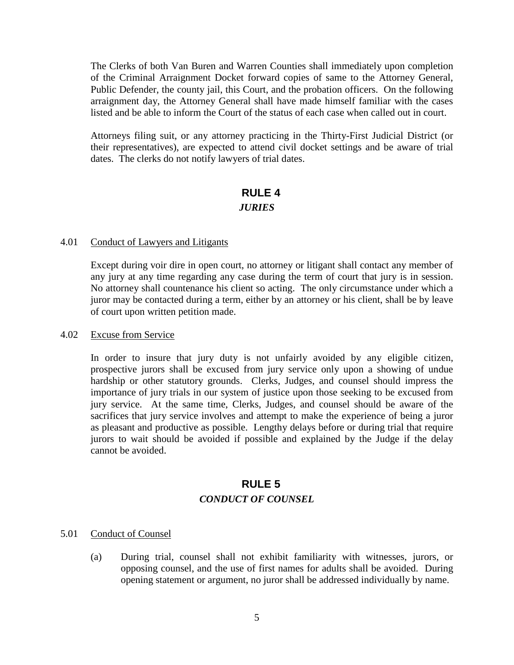The Clerks of both Van Buren and Warren Counties shall immediately upon completion of the Criminal Arraignment Docket forward copies of same to the Attorney General, Public Defender, the county jail, this Court, and the probation officers. On the following arraignment day, the Attorney General shall have made himself familiar with the cases listed and be able to inform the Court of the status of each case when called out in court.

Attorneys filing suit, or any attorney practicing in the Thirty-First Judicial District (or their representatives), are expected to attend civil docket settings and be aware of trial dates. The clerks do not notify lawyers of trial dates.

# **RULE 4**

# *JURIES*

### 4.01 Conduct of Lawyers and Litigants

Except during voir dire in open court, no attorney or litigant shall contact any member of any jury at any time regarding any case during the term of court that jury is in session. No attorney shall countenance his client so acting. The only circumstance under which a juror may be contacted during a term, either by an attorney or his client, shall be by leave of court upon written petition made.

#### 4.02 Excuse from Service

In order to insure that jury duty is not unfairly avoided by any eligible citizen, prospective jurors shall be excused from jury service only upon a showing of undue hardship or other statutory grounds. Clerks, Judges, and counsel should impress the importance of jury trials in our system of justice upon those seeking to be excused from jury service. At the same time, Clerks, Judges, and counsel should be aware of the sacrifices that jury service involves and attempt to make the experience of being a juror as pleasant and productive as possible. Lengthy delays before or during trial that require jurors to wait should be avoided if possible and explained by the Judge if the delay cannot be avoided.

# **RULE 5** *CONDUCT OF COUNSEL*

# 5.01 Conduct of Counsel

(a) During trial, counsel shall not exhibit familiarity with witnesses, jurors, or opposing counsel, and the use of first names for adults shall be avoided. During opening statement or argument, no juror shall be addressed individually by name.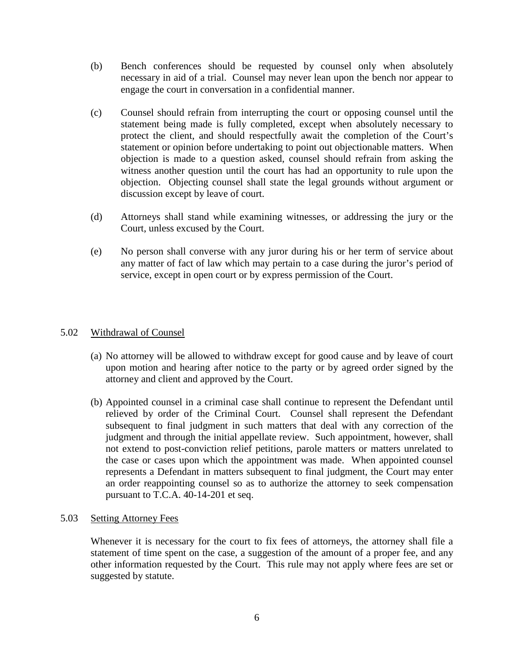- (b) Bench conferences should be requested by counsel only when absolutely necessary in aid of a trial. Counsel may never lean upon the bench nor appear to engage the court in conversation in a confidential manner.
- (c) Counsel should refrain from interrupting the court or opposing counsel until the statement being made is fully completed, except when absolutely necessary to protect the client, and should respectfully await the completion of the Court's statement or opinion before undertaking to point out objectionable matters. When objection is made to a question asked, counsel should refrain from asking the witness another question until the court has had an opportunity to rule upon the objection. Objecting counsel shall state the legal grounds without argument or discussion except by leave of court.
- (d) Attorneys shall stand while examining witnesses, or addressing the jury or the Court, unless excused by the Court.
- (e) No person shall converse with any juror during his or her term of service about any matter of fact of law which may pertain to a case during the juror's period of service, except in open court or by express permission of the Court.

# 5.02 Withdrawal of Counsel

- (a) No attorney will be allowed to withdraw except for good cause and by leave of court upon motion and hearing after notice to the party or by agreed order signed by the attorney and client and approved by the Court.
- (b) Appointed counsel in a criminal case shall continue to represent the Defendant until relieved by order of the Criminal Court. Counsel shall represent the Defendant subsequent to final judgment in such matters that deal with any correction of the judgment and through the initial appellate review. Such appointment, however, shall not extend to post-conviction relief petitions, parole matters or matters unrelated to the case or cases upon which the appointment was made. When appointed counsel represents a Defendant in matters subsequent to final judgment, the Court may enter an order reappointing counsel so as to authorize the attorney to seek compensation pursuant to T.C.A. 40-14-201 et seq.

# 5.03 Setting Attorney Fees

Whenever it is necessary for the court to fix fees of attorneys, the attorney shall file a statement of time spent on the case, a suggestion of the amount of a proper fee, and any other information requested by the Court. This rule may not apply where fees are set or suggested by statute.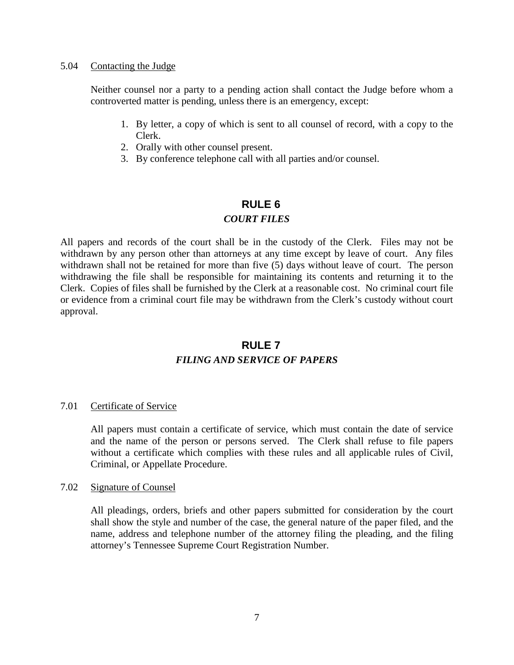#### 5.04 Contacting the Judge

Neither counsel nor a party to a pending action shall contact the Judge before whom a controverted matter is pending, unless there is an emergency, except:

- 1. By letter, a copy of which is sent to all counsel of record, with a copy to the Clerk.
- 2. Orally with other counsel present.
- 3. By conference telephone call with all parties and/or counsel.

# **RULE 6**

# *COURT FILES*

All papers and records of the court shall be in the custody of the Clerk. Files may not be withdrawn by any person other than attorneys at any time except by leave of court. Any files withdrawn shall not be retained for more than five (5) days without leave of court. The person withdrawing the file shall be responsible for maintaining its contents and returning it to the Clerk. Copies of files shall be furnished by the Clerk at a reasonable cost. No criminal court file or evidence from a criminal court file may be withdrawn from the Clerk's custody without court approval.

# **RULE 7** *FILING AND SERVICE OF PAPERS*

# 7.01 Certificate of Service

All papers must contain a certificate of service, which must contain the date of service and the name of the person or persons served. The Clerk shall refuse to file papers without a certificate which complies with these rules and all applicable rules of Civil, Criminal, or Appellate Procedure.

# 7.02 Signature of Counsel

All pleadings, orders, briefs and other papers submitted for consideration by the court shall show the style and number of the case, the general nature of the paper filed, and the name, address and telephone number of the attorney filing the pleading, and the filing attorney's Tennessee Supreme Court Registration Number.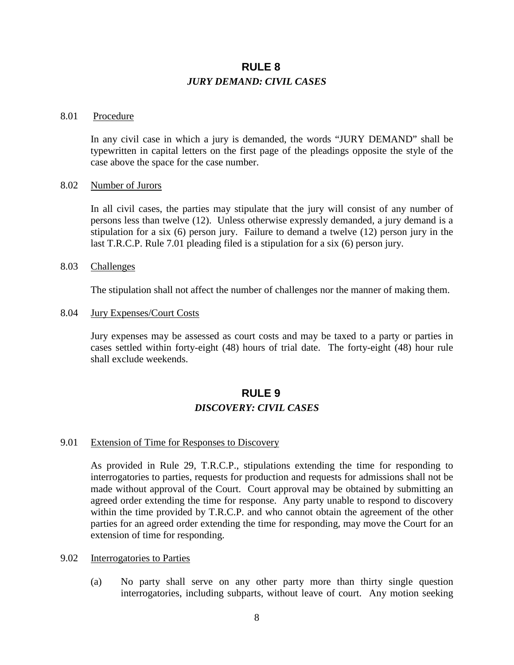# **RULE 8** *JURY DEMAND: CIVIL CASES*

#### 8.01 Procedure

In any civil case in which a jury is demanded, the words "JURY DEMAND" shall be typewritten in capital letters on the first page of the pleadings opposite the style of the case above the space for the case number.

#### 8.02 Number of Jurors

In all civil cases, the parties may stipulate that the jury will consist of any number of persons less than twelve (12). Unless otherwise expressly demanded, a jury demand is a stipulation for a six (6) person jury. Failure to demand a twelve (12) person jury in the last T.R.C.P. Rule 7.01 pleading filed is a stipulation for a six (6) person jury.

#### 8.03 Challenges

The stipulation shall not affect the number of challenges nor the manner of making them.

#### 8.04 Jury Expenses/Court Costs

Jury expenses may be assessed as court costs and may be taxed to a party or parties in cases settled within forty-eight (48) hours of trial date. The forty-eight (48) hour rule shall exclude weekends.

# **RULE 9**

#### *DISCOVERY: CIVIL CASES*

#### 9.01 Extension of Time for Responses to Discovery

As provided in Rule 29, T.R.C.P., stipulations extending the time for responding to interrogatories to parties, requests for production and requests for admissions shall not be made without approval of the Court. Court approval may be obtained by submitting an agreed order extending the time for response. Any party unable to respond to discovery within the time provided by T.R.C.P. and who cannot obtain the agreement of the other parties for an agreed order extending the time for responding, may move the Court for an extension of time for responding.

# 9.02 Interrogatories to Parties

(a) No party shall serve on any other party more than thirty single question interrogatories, including subparts, without leave of court. Any motion seeking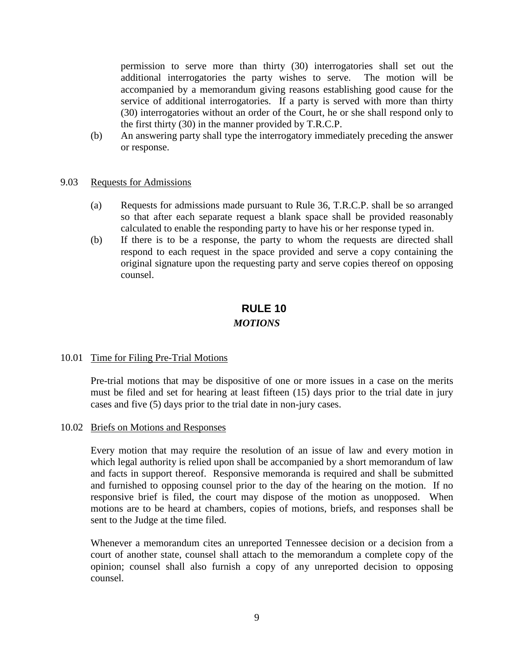permission to serve more than thirty (30) interrogatories shall set out the additional interrogatories the party wishes to serve. The motion will be accompanied by a memorandum giving reasons establishing good cause for the service of additional interrogatories. If a party is served with more than thirty (30) interrogatories without an order of the Court, he or she shall respond only to the first thirty (30) in the manner provided by T.R.C.P.

(b) An answering party shall type the interrogatory immediately preceding the answer or response.

### 9.03 Requests for Admissions

- (a) Requests for admissions made pursuant to Rule 36, T.R.C.P. shall be so arranged so that after each separate request a blank space shall be provided reasonably calculated to enable the responding party to have his or her response typed in.
- (b) If there is to be a response, the party to whom the requests are directed shall respond to each request in the space provided and serve a copy containing the original signature upon the requesting party and serve copies thereof on opposing counsel.

# **RULE 10**

# *MOTIONS*

#### 10.01 Time for Filing Pre-Trial Motions

Pre-trial motions that may be dispositive of one or more issues in a case on the merits must be filed and set for hearing at least fifteen (15) days prior to the trial date in jury cases and five (5) days prior to the trial date in non-jury cases.

#### 10.02 Briefs on Motions and Responses

Every motion that may require the resolution of an issue of law and every motion in which legal authority is relied upon shall be accompanied by a short memorandum of law and facts in support thereof. Responsive memoranda is required and shall be submitted and furnished to opposing counsel prior to the day of the hearing on the motion. If no responsive brief is filed, the court may dispose of the motion as unopposed. When motions are to be heard at chambers, copies of motions, briefs, and responses shall be sent to the Judge at the time filed.

Whenever a memorandum cites an unreported Tennessee decision or a decision from a court of another state, counsel shall attach to the memorandum a complete copy of the opinion; counsel shall also furnish a copy of any unreported decision to opposing counsel.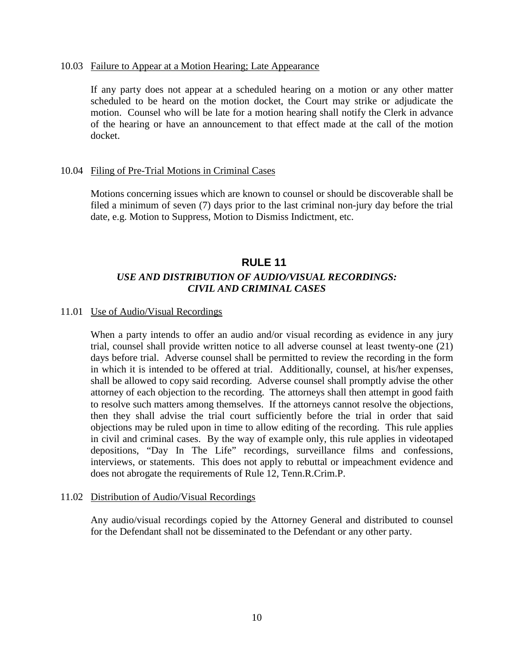#### 10.03 Failure to Appear at a Motion Hearing; Late Appearance

If any party does not appear at a scheduled hearing on a motion or any other matter scheduled to be heard on the motion docket, the Court may strike or adjudicate the motion. Counsel who will be late for a motion hearing shall notify the Clerk in advance of the hearing or have an announcement to that effect made at the call of the motion docket.

### 10.04 Filing of Pre-Trial Motions in Criminal Cases

Motions concerning issues which are known to counsel or should be discoverable shall be filed a minimum of seven (7) days prior to the last criminal non-jury day before the trial date, e.g. Motion to Suppress, Motion to Dismiss Indictment, etc.

# **RULE 11** *USE AND DISTRIBUTION OF AUDIO/VISUAL RECORDINGS: CIVIL AND CRIMINAL CASES*

#### 11.01 Use of Audio/Visual Recordings

When a party intends to offer an audio and/or visual recording as evidence in any jury trial, counsel shall provide written notice to all adverse counsel at least twenty-one (21) days before trial. Adverse counsel shall be permitted to review the recording in the form in which it is intended to be offered at trial. Additionally, counsel, at his/her expenses, shall be allowed to copy said recording. Adverse counsel shall promptly advise the other attorney of each objection to the recording. The attorneys shall then attempt in good faith to resolve such matters among themselves. If the attorneys cannot resolve the objections, then they shall advise the trial court sufficiently before the trial in order that said objections may be ruled upon in time to allow editing of the recording. This rule applies in civil and criminal cases. By the way of example only, this rule applies in videotaped depositions, "Day In The Life" recordings, surveillance films and confessions, interviews, or statements. This does not apply to rebuttal or impeachment evidence and does not abrogate the requirements of Rule 12, Tenn.R.Crim.P.

#### 11.02 Distribution of Audio/Visual Recordings

Any audio/visual recordings copied by the Attorney General and distributed to counsel for the Defendant shall not be disseminated to the Defendant or any other party.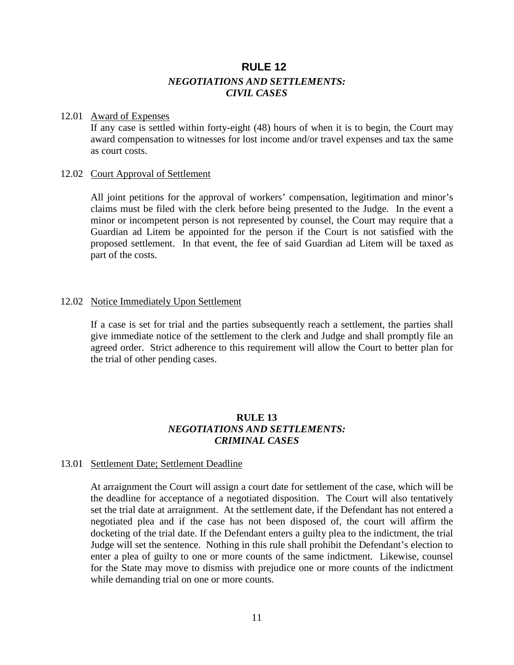# **RULE 12** *NEGOTIATIONS AND SETTLEMENTS: CIVIL CASES*

#### 12.01 Award of Expenses

If any case is settled within forty-eight (48) hours of when it is to begin, the Court may award compensation to witnesses for lost income and/or travel expenses and tax the same as court costs.

# 12.02 Court Approval of Settlement

All joint petitions for the approval of workers' compensation, legitimation and minor's claims must be filed with the clerk before being presented to the Judge. In the event a minor or incompetent person is not represented by counsel, the Court may require that a Guardian ad Litem be appointed for the person if the Court is not satisfied with the proposed settlement. In that event, the fee of said Guardian ad Litem will be taxed as part of the costs.

### 12.02 Notice Immediately Upon Settlement

If a case is set for trial and the parties subsequently reach a settlement, the parties shall give immediate notice of the settlement to the clerk and Judge and shall promptly file an agreed order. Strict adherence to this requirement will allow the Court to better plan for the trial of other pending cases.

# **RULE 13** *NEGOTIATIONS AND SETTLEMENTS: CRIMINAL CASES*

# 13.01 Settlement Date; Settlement Deadline

At arraignment the Court will assign a court date for settlement of the case, which will be the deadline for acceptance of a negotiated disposition. The Court will also tentatively set the trial date at arraignment. At the settlement date, if the Defendant has not entered a negotiated plea and if the case has not been disposed of, the court will affirm the docketing of the trial date. If the Defendant enters a guilty plea to the indictment, the trial Judge will set the sentence. Nothing in this rule shall prohibit the Defendant's election to enter a plea of guilty to one or more counts of the same indictment. Likewise, counsel for the State may move to dismiss with prejudice one or more counts of the indictment while demanding trial on one or more counts.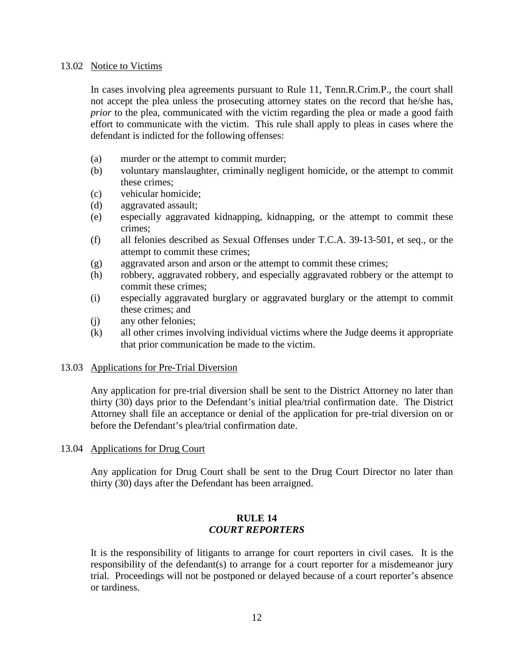#### 13.02 Notice to Victims

In cases involving plea agreements pursuant to Rule 11, Tenn.R.Crim.P., the court shall not accept the plea unless the prosecuting attorney states on the record that he/she has, *prior* to the plea, communicated with the victim regarding the plea or made a good faith effort to communicate with the victim. This rule shall apply to pleas in cases where the defendant is indicted for the following offenses:

- (a) murder or the attempt to commit murder;
- (b) voluntary manslaughter, criminally negligent homicide, or the attempt to commit these crimes;
- (c) vehicular homicide;
- (d) aggravated assault;
- (e) especially aggravated kidnapping, kidnapping, or the attempt to commit these crimes;
- (f) all felonies described as Sexual Offenses under T.C.A. 39-13-501, et seq., or the attempt to commit these crimes;
- (g) aggravated arson and arson or the attempt to commit these crimes;
- (h) robbery, aggravated robbery, and especially aggravated robbery or the attempt to commit these crimes;
- (i) especially aggravated burglary or aggravated burglary or the attempt to commit these crimes; and
- (j) any other felonies;
- (k) all other crimes involving individual victims where the Judge deems it appropriate that prior communication be made to the victim.

#### 13.03 Applications for Pre-Trial Diversion

Any application for pre-trial diversion shall be sent to the District Attorney no later than thirty (30) days prior to the Defendant's initial plea/trial confirmation date. The District Attorney shall file an acceptance or denial of the application for pre-trial diversion on or before the Defendant's plea/trial confirmation date.

13.04 Applications for Drug Court

Any application for Drug Court shall be sent to the Drug Court Director no later than thirty (30) days after the Defendant has been arraigned.

### **RULE 14** *COURT REPORTERS*

It is the responsibility of litigants to arrange for court reporters in civil cases. It is the responsibility of the defendant(s) to arrange for a court reporter for a misdemeanor jury trial. Proceedings will not be postponed or delayed because of a court reporter's absence or tardiness.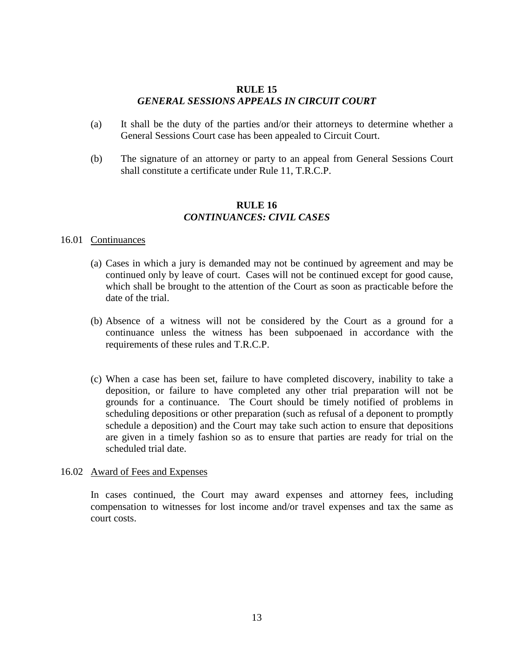### **RULE 15** *GENERAL SESSIONS APPEALS IN CIRCUIT COURT*

- (a) It shall be the duty of the parties and/or their attorneys to determine whether a General Sessions Court case has been appealed to Circuit Court.
- (b) The signature of an attorney or party to an appeal from General Sessions Court shall constitute a certificate under Rule 11, T.R.C.P.

# **RULE 16** *CONTINUANCES: CIVIL CASES*

### 16.01 Continuances

- (a) Cases in which a jury is demanded may not be continued by agreement and may be continued only by leave of court. Cases will not be continued except for good cause, which shall be brought to the attention of the Court as soon as practicable before the date of the trial.
- (b) Absence of a witness will not be considered by the Court as a ground for a continuance unless the witness has been subpoenaed in accordance with the requirements of these rules and T.R.C.P.
- (c) When a case has been set, failure to have completed discovery, inability to take a deposition, or failure to have completed any other trial preparation will not be grounds for a continuance. The Court should be timely notified of problems in scheduling depositions or other preparation (such as refusal of a deponent to promptly schedule a deposition) and the Court may take such action to ensure that depositions are given in a timely fashion so as to ensure that parties are ready for trial on the scheduled trial date.

#### 16.02 Award of Fees and Expenses

In cases continued, the Court may award expenses and attorney fees, including compensation to witnesses for lost income and/or travel expenses and tax the same as court costs.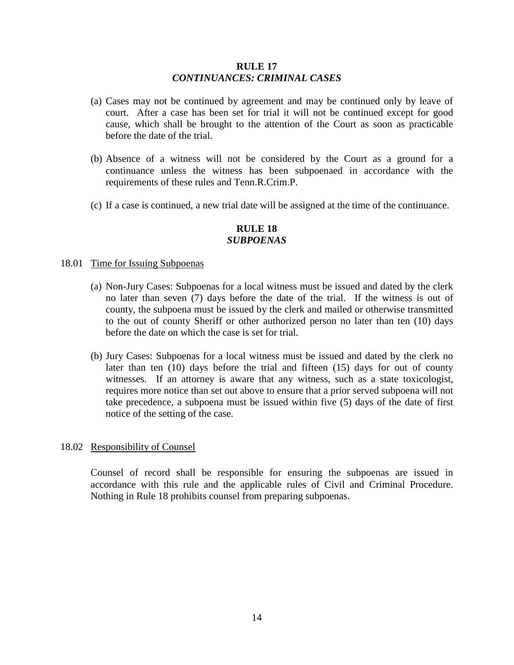#### **RULE 17** *CONTINUANCES: CRIMINAL CASES*

- (a) Cases may not be continued by agreement and may be continued only by leave of court. After a case has been set for trial it will not be continued except for good cause, which shall be brought to the attention of the Court as soon as practicable before the date of the trial.
- (b) Absence of a witness will not be considered by the Court as a ground for a continuance unless the witness has been subpoenaed in accordance with the requirements of these rules and Tenn.R.Crim.P.
- (c) If a case is continued, a new trial date will be assigned at the time of the continuance.

# **RULE 18** *SUBPOENAS*

#### 18.01 Time for Issuing Subpoenas

- (a) Non-Jury Cases: Subpoenas for a local witness must be issued and dated by the clerk no later than seven (7) days before the date of the trial. If the witness is out of county, the subpoena must be issued by the clerk and mailed or otherwise transmitted to the out of county Sheriff or other authorized person no later than ten (10) days before the date on which the case is set for trial.
- (b) Jury Cases: Subpoenas for a local witness must be issued and dated by the clerk no later than ten (10) days before the trial and fifteen (15) days for out of county witnesses. If an attorney is aware that any witness, such as a state toxicologist, requires more notice than set out above to ensure that a prior served subpoena will not take precedence, a subpoena must be issued within five (5) days of the date of first notice of the setting of the case.

#### 18.02 Responsibility of Counsel

Counsel of record shall be responsible for ensuring the subpoenas are issued in accordance with this rule and the applicable rules of Civil and Criminal Procedure. Nothing in Rule 18 prohibits counsel from preparing subpoenas.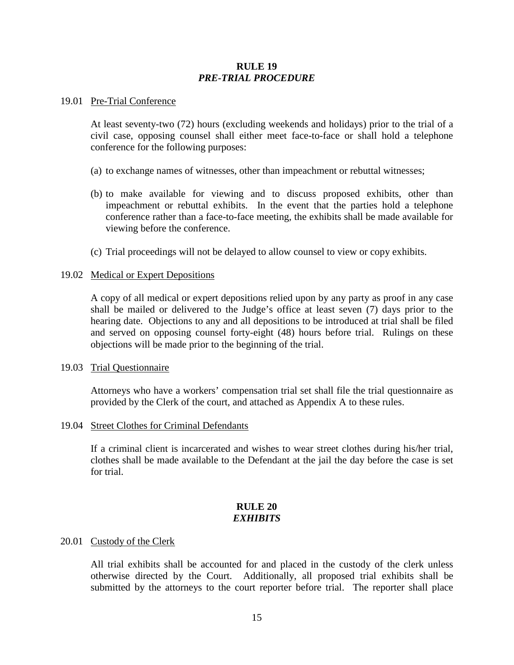### **RULE 19** *PRE-TRIAL PROCEDURE*

#### 19.01 Pre-Trial Conference

At least seventy-two (72) hours (excluding weekends and holidays) prior to the trial of a civil case, opposing counsel shall either meet face-to-face or shall hold a telephone conference for the following purposes:

- (a) to exchange names of witnesses, other than impeachment or rebuttal witnesses;
- (b) to make available for viewing and to discuss proposed exhibits, other than impeachment or rebuttal exhibits. In the event that the parties hold a telephone conference rather than a face-to-face meeting, the exhibits shall be made available for viewing before the conference.
- (c) Trial proceedings will not be delayed to allow counsel to view or copy exhibits.

#### 19.02 Medical or Expert Depositions

A copy of all medical or expert depositions relied upon by any party as proof in any case shall be mailed or delivered to the Judge's office at least seven (7) days prior to the hearing date. Objections to any and all depositions to be introduced at trial shall be filed and served on opposing counsel forty-eight (48) hours before trial. Rulings on these objections will be made prior to the beginning of the trial.

#### 19.03 Trial Questionnaire

Attorneys who have a workers' compensation trial set shall file the trial questionnaire as provided by the Clerk of the court, and attached as Appendix A to these rules.

#### 19.04 Street Clothes for Criminal Defendants

If a criminal client is incarcerated and wishes to wear street clothes during his/her trial, clothes shall be made available to the Defendant at the jail the day before the case is set for trial.

#### **RULE 20** *EXHIBITS*

#### 20.01 Custody of the Clerk

All trial exhibits shall be accounted for and placed in the custody of the clerk unless otherwise directed by the Court. Additionally, all proposed trial exhibits shall be submitted by the attorneys to the court reporter before trial. The reporter shall place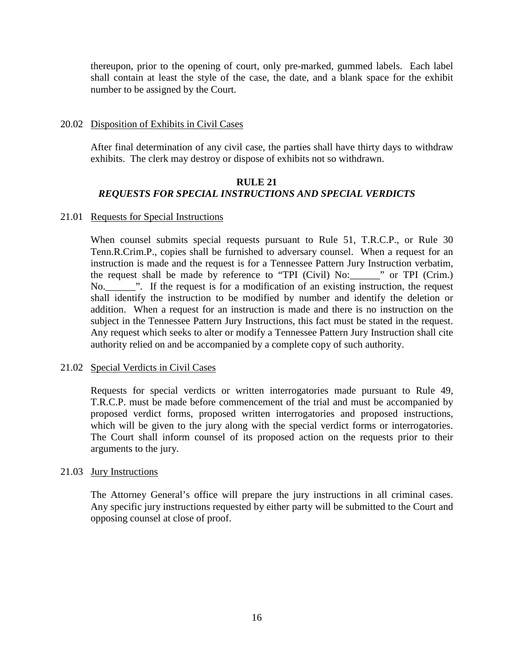thereupon, prior to the opening of court, only pre-marked, gummed labels. Each label shall contain at least the style of the case, the date, and a blank space for the exhibit number to be assigned by the Court.

# 20.02 Disposition of Exhibits in Civil Cases

After final determination of any civil case, the parties shall have thirty days to withdraw exhibits. The clerk may destroy or dispose of exhibits not so withdrawn.

# **RULE 21** *REQUESTS FOR SPECIAL INSTRUCTIONS AND SPECIAL VERDICTS*

# 21.01 Requests for Special Instructions

When counsel submits special requests pursuant to Rule 51, T.R.C.P., or Rule 30 Tenn.R.Crim.P., copies shall be furnished to adversary counsel. When a request for an instruction is made and the request is for a Tennessee Pattern Jury Instruction verbatim, the request shall be made by reference to "TPI (Civil) No:\_\_\_\_\_\_" or TPI (Crim.) No.\_\_\_\_\_\_". If the request is for a modification of an existing instruction, the request shall identify the instruction to be modified by number and identify the deletion or addition. When a request for an instruction is made and there is no instruction on the subject in the Tennessee Pattern Jury Instructions, this fact must be stated in the request. Any request which seeks to alter or modify a Tennessee Pattern Jury Instruction shall cite authority relied on and be accompanied by a complete copy of such authority.

#### 21.02 Special Verdicts in Civil Cases

Requests for special verdicts or written interrogatories made pursuant to Rule 49, T.R.C.P. must be made before commencement of the trial and must be accompanied by proposed verdict forms, proposed written interrogatories and proposed instructions, which will be given to the jury along with the special verdict forms or interrogatories. The Court shall inform counsel of its proposed action on the requests prior to their arguments to the jury.

# 21.03 Jury Instructions

The Attorney General's office will prepare the jury instructions in all criminal cases. Any specific jury instructions requested by either party will be submitted to the Court and opposing counsel at close of proof.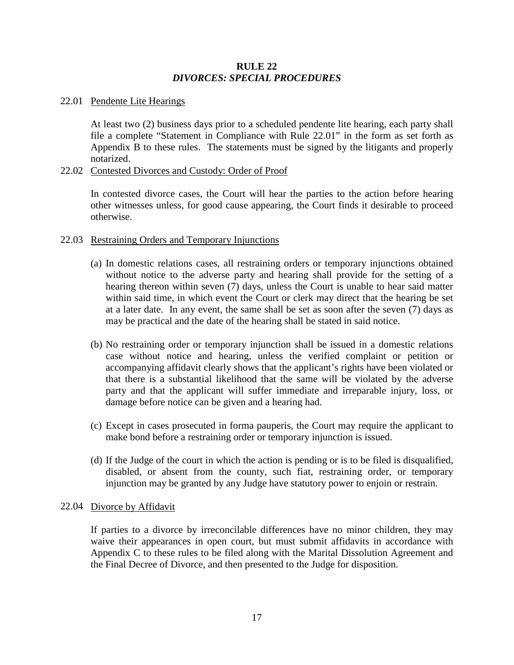# **RULE 22** *DIVORCES: SPECIAL PROCEDURES*

# 22.01 Pendente Lite Hearings

At least two (2) business days prior to a scheduled pendente lite hearing, each party shall file a complete "Statement in Compliance with Rule 22.01" in the form as set forth as Appendix B to these rules. The statements must be signed by the litigants and properly notarized.

### 22.02 Contested Divorces and Custody: Order of Proof

In contested divorce cases, the Court will hear the parties to the action before hearing other witnesses unless, for good cause appearing, the Court finds it desirable to proceed otherwise.

### 22.03 Restraining Orders and Temporary Injunctions

- (a) In domestic relations cases, all restraining orders or temporary injunctions obtained without notice to the adverse party and hearing shall provide for the setting of a hearing thereon within seven (7) days, unless the Court is unable to hear said matter within said time, in which event the Court or clerk may direct that the hearing be set at a later date. In any event, the same shall be set as soon after the seven (7) days as may be practical and the date of the hearing shall be stated in said notice.
- (b) No restraining order or temporary injunction shall be issued in a domestic relations case without notice and hearing, unless the verified complaint or petition or accompanying affidavit clearly shows that the applicant's rights have been violated or that there is a substantial likelihood that the same will be violated by the adverse party and that the applicant will suffer immediate and irreparable injury, loss, or damage before notice can be given and a hearing had.
- (c) Except in cases prosecuted in forma pauperis, the Court may require the applicant to make bond before a restraining order or temporary injunction is issued.
- (d) If the Judge of the court in which the action is pending or is to be filed is disqualified, disabled, or absent from the county, such fiat, restraining order, or temporary injunction may be granted by any Judge have statutory power to enjoin or restrain.

#### 22.04 Divorce by Affidavit

If parties to a divorce by irreconcilable differences have no minor children, they may waive their appearances in open court, but must submit affidavits in accordance with Appendix C to these rules to be filed along with the Marital Dissolution Agreement and the Final Decree of Divorce, and then presented to the Judge for disposition.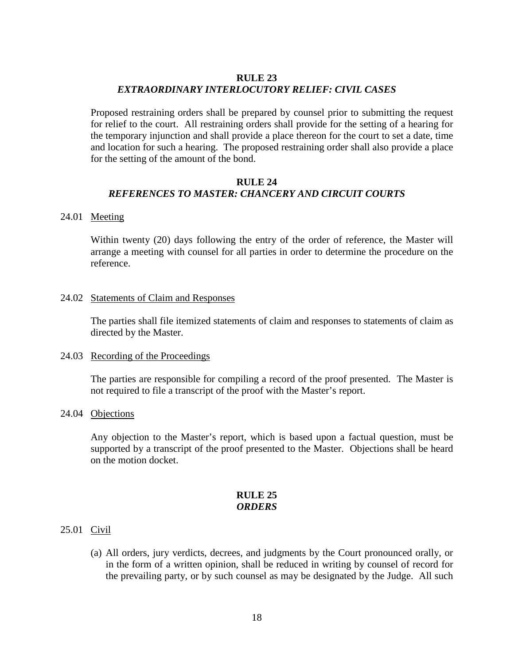#### **RULE 23**

# *EXTRAORDINARY INTERLOCUTORY RELIEF: CIVIL CASES*

Proposed restraining orders shall be prepared by counsel prior to submitting the request for relief to the court. All restraining orders shall provide for the setting of a hearing for the temporary injunction and shall provide a place thereon for the court to set a date, time and location for such a hearing. The proposed restraining order shall also provide a place for the setting of the amount of the bond.

# **RULE 24** *REFERENCES TO MASTER: CHANCERY AND CIRCUIT COURTS*

#### 24.01 Meeting

Within twenty (20) days following the entry of the order of reference, the Master will arrange a meeting with counsel for all parties in order to determine the procedure on the reference.

#### 24.02 Statements of Claim and Responses

The parties shall file itemized statements of claim and responses to statements of claim as directed by the Master.

# 24.03 Recording of the Proceedings

The parties are responsible for compiling a record of the proof presented. The Master is not required to file a transcript of the proof with the Master's report.

#### 24.04 Objections

Any objection to the Master's report, which is based upon a factual question, must be supported by a transcript of the proof presented to the Master. Objections shall be heard on the motion docket.

#### **RULE 25** *ORDERS*

#### 25.01 Civil

(a) All orders, jury verdicts, decrees, and judgments by the Court pronounced orally, or in the form of a written opinion, shall be reduced in writing by counsel of record for the prevailing party, or by such counsel as may be designated by the Judge. All such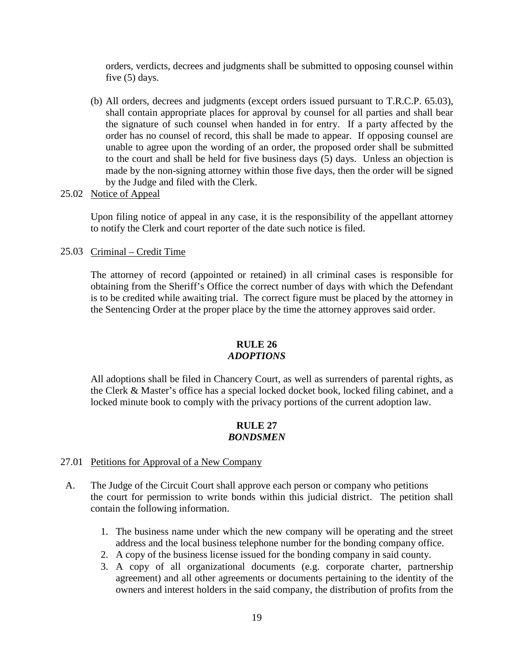orders, verdicts, decrees and judgments shall be submitted to opposing counsel within five (5) days.

(b) All orders, decrees and judgments (except orders issued pursuant to T.R.C.P. 65.03), shall contain appropriate places for approval by counsel for all parties and shall bear the signature of such counsel when handed in for entry. If a party affected by the order has no counsel of record, this shall be made to appear. If opposing counsel are unable to agree upon the wording of an order, the proposed order shall be submitted to the court and shall be held for five business days (5) days. Unless an objection is made by the non-signing attorney within those five days, then the order will be signed by the Judge and filed with the Clerk.

### 25.02 Notice of Appeal

Upon filing notice of appeal in any case, it is the responsibility of the appellant attorney to notify the Clerk and court reporter of the date such notice is filed.

### 25.03 Criminal – Credit Time

The attorney of record (appointed or retained) in all criminal cases is responsible for obtaining from the Sheriff's Office the correct number of days with which the Defendant is to be credited while awaiting trial. The correct figure must be placed by the attorney in the Sentencing Order at the proper place by the time the attorney approves said order.

# **RULE 26** *ADOPTIONS*

All adoptions shall be filed in Chancery Court, as well as surrenders of parental rights, as the Clerk & Master's office has a special locked docket book, locked filing cabinet, and a locked minute book to comply with the privacy portions of the current adoption law.

# **RULE 27** *BONDSMEN*

# 27.01 Petitions for Approval of a New Company

- A. The Judge of the Circuit Court shall approve each person or company who petitions the court for permission to write bonds within this judicial district. The petition shall contain the following information.
	- 1. The business name under which the new company will be operating and the street address and the local business telephone number for the bonding company office.
	- 2. A copy of the business license issued for the bonding company in said county.
	- 3. A copy of all organizational documents (e.g. corporate charter, partnership agreement) and all other agreements or documents pertaining to the identity of the owners and interest holders in the said company, the distribution of profits from the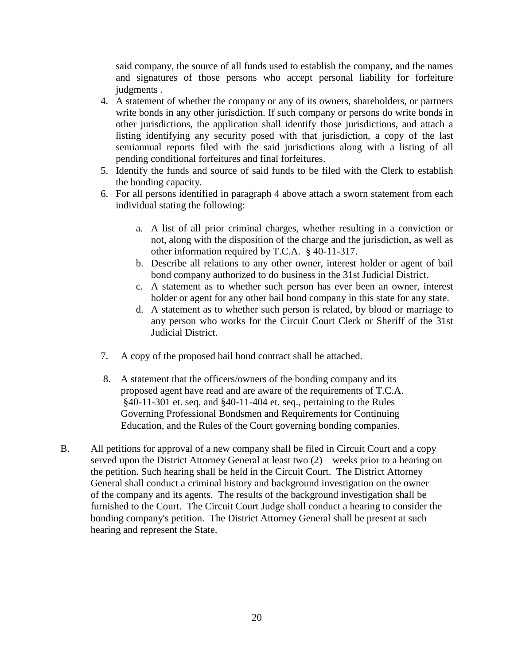said company, the source of all funds used to establish the company, and the names and signatures of those persons who accept personal liability for forfeiture judgments.

- 4. A statement of whether the company or any of its owners, shareholders, or partners write bonds in any other jurisdiction. If such company or persons do write bonds in other jurisdictions, the application shall identify those jurisdictions, and attach a listing identifying any security posed with that jurisdiction, a copy of the last semiannual reports filed with the said jurisdictions along with a listing of all pending conditional forfeitures and final forfeitures.
- 5. Identify the funds and source of said funds to be filed with the Clerk to establish the bonding capacity.
- 6. For all persons identified in paragraph 4 above attach a sworn statement from each individual stating the following:
	- a. A list of all prior criminal charges, whether resulting in a conviction or not, along with the disposition of the charge and the jurisdiction, as well as other information required by T.C.A. § 40-11-317.
	- b. Describe all relations to any other owner, interest holder or agent of bail bond company authorized to do business in the 31st Judicial District.
	- c. A statement as to whether such person has ever been an owner, interest holder or agent for any other bail bond company in this state for any state.
	- d. A statement as to whether such person is related, by blood or marriage to any person who works for the Circuit Court Clerk or Sheriff of the 31st Judicial District.
- 7. A copy of the proposed bail bond contract shall be attached.
- 8. A statement that the officers/owners of the bonding company and its proposed agent have read and are aware of the requirements of T.C.A. §40-11-301 et. seq. and §40-11-404 et. seq., pertaining to the Rules Governing Professional Bondsmen and Requirements for Continuing Education, and the Rules of the Court governing bonding companies.
- B. All petitions for approval of a new company shall be filed in Circuit Court and a copy served upon the District Attorney General at least two (2) weeks prior to a hearing on the petition. Such hearing shall be held in the Circuit Court. The District Attorney General shall conduct a criminal history and background investigation on the owner of the company and its agents. The results of the background investigation shall be furnished to the Court. The Circuit Court Judge shall conduct a hearing to consider the bonding company's petition. The District Attorney General shall be present at such hearing and represent the State.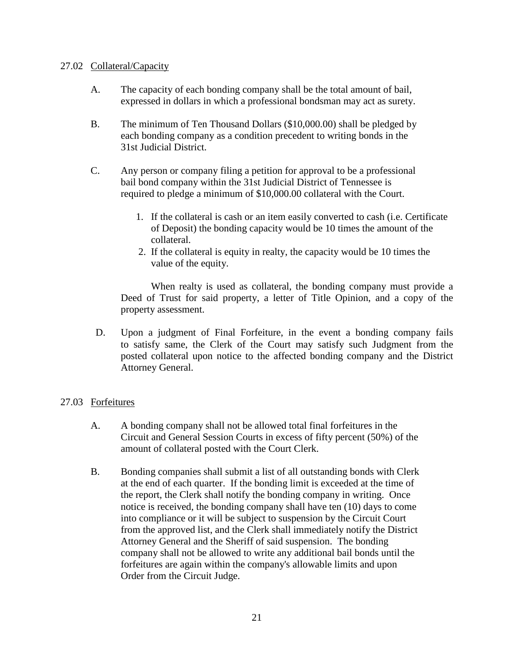### 27.02 Collateral/Capacity

- A. The capacity of each bonding company shall be the total amount of bail, expressed in dollars in which a professional bondsman may act as surety.
- B. The minimum of Ten Thousand Dollars (\$10,000.00) shall be pledged by each bonding company as a condition precedent to writing bonds in the 31st Judicial District.
- C. Any person or company filing a petition for approval to be a professional bail bond company within the 31st Judicial District of Tennessee is required to pledge a minimum of \$10,000.00 collateral with the Court.
	- 1. If the collateral is cash or an item easily converted to cash (i.e. Certificate of Deposit) the bonding capacity would be 10 times the amount of the collateral.
	- 2. If the collateral is equity in realty, the capacity would be 10 times the value of the equity.

When realty is used as collateral, the bonding company must provide a Deed of Trust for said property, a letter of Title Opinion, and a copy of the property assessment.

 D. Upon a judgment of Final Forfeiture, in the event a bonding company fails to satisfy same, the Clerk of the Court may satisfy such Judgment from the posted collateral upon notice to the affected bonding company and the District Attorney General.

# 27.03 Forfeitures

- A. A bonding company shall not be allowed total final forfeitures in the Circuit and General Session Courts in excess of fifty percent (50%) of the amount of collateral posted with the Court Clerk.
- B. Bonding companies shall submit a list of all outstanding bonds with Clerk at the end of each quarter. If the bonding limit is exceeded at the time of the report, the Clerk shall notify the bonding company in writing. Once notice is received, the bonding company shall have ten (10) days to come into compliance or it will be subject to suspension by the Circuit Court from the approved list, and the Clerk shall immediately notify the District Attorney General and the Sheriff of said suspension. The bonding company shall not be allowed to write any additional bail bonds until the forfeitures are again within the company's allowable limits and upon Order from the Circuit Judge.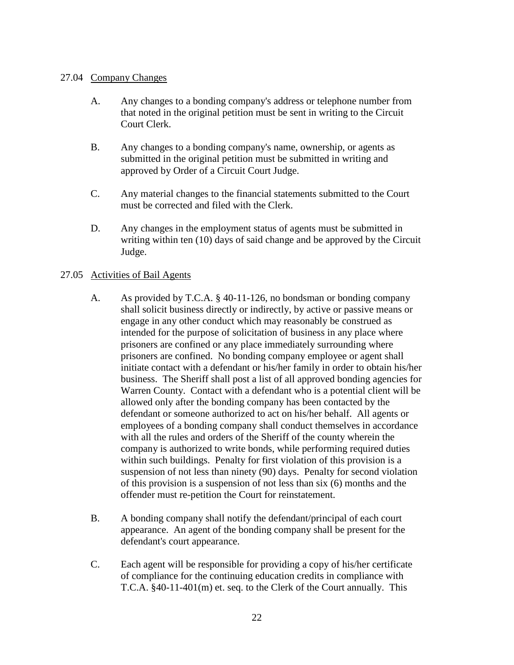# 27.04 Company Changes

- A. Any changes to a bonding company's address or telephone number from that noted in the original petition must be sent in writing to the Circuit Court Clerk.
- B. Any changes to a bonding company's name, ownership, or agents as submitted in the original petition must be submitted in writing and approved by Order of a Circuit Court Judge.
- C. Any material changes to the financial statements submitted to the Court must be corrected and filed with the Clerk.
- D. Any changes in the employment status of agents must be submitted in writing within ten (10) days of said change and be approved by the Circuit Judge.

# 27.05 Activities of Bail Agents

- A. As provided by T.C.A. § 40-11-126, no bondsman or bonding company shall solicit business directly or indirectly, by active or passive means or engage in any other conduct which may reasonably be construed as intended for the purpose of solicitation of business in any place where prisoners are confined or any place immediately surrounding where prisoners are confined. No bonding company employee or agent shall initiate contact with a defendant or his/her family in order to obtain his/her business. The Sheriff shall post a list of all approved bonding agencies for Warren County. Contact with a defendant who is a potential client will be allowed only after the bonding company has been contacted by the defendant or someone authorized to act on his/her behalf. All agents or employees of a bonding company shall conduct themselves in accordance with all the rules and orders of the Sheriff of the county wherein the company is authorized to write bonds, while performing required duties within such buildings. Penalty for first violation of this provision is a suspension of not less than ninety (90) days. Penalty for second violation of this provision is a suspension of not less than six (6) months and the offender must re-petition the Court for reinstatement.
- B. A bonding company shall notify the defendant/principal of each court appearance. An agent of the bonding company shall be present for the defendant's court appearance.
- C. Each agent will be responsible for providing a copy of his/her certificate of compliance for the continuing education credits in compliance with T.C.A. §40-11-401(m) et. seq. to the Clerk of the Court annually. This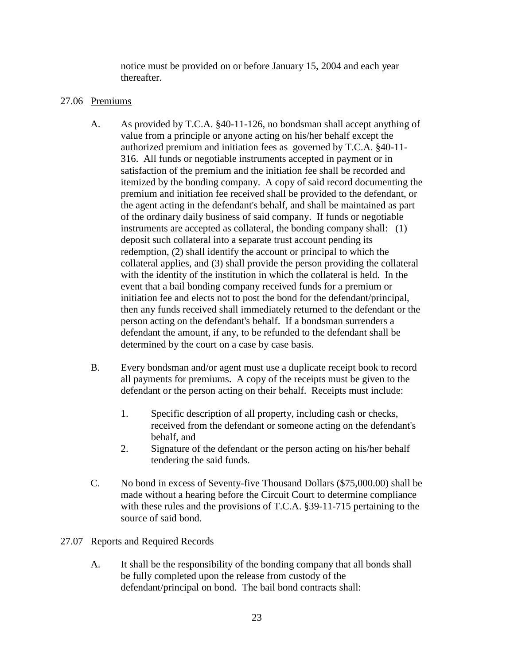notice must be provided on or before January 15, 2004 and each year thereafter.

# 27.06 Premiums

- A. As provided by T.C.A. §40-11-126, no bondsman shall accept anything of value from a principle or anyone acting on his/her behalf except the authorized premium and initiation fees as governed by T.C.A. §40-11- 316. All funds or negotiable instruments accepted in payment or in satisfaction of the premium and the initiation fee shall be recorded and itemized by the bonding company. A copy of said record documenting the premium and initiation fee received shall be provided to the defendant, or the agent acting in the defendant's behalf, and shall be maintained as part of the ordinary daily business of said company. If funds or negotiable instruments are accepted as collateral, the bonding company shall: (1) deposit such collateral into a separate trust account pending its redemption, (2) shall identify the account or principal to which the collateral applies, and (3) shall provide the person providing the collateral with the identity of the institution in which the collateral is held. In the event that a bail bonding company received funds for a premium or initiation fee and elects not to post the bond for the defendant/principal, then any funds received shall immediately returned to the defendant or the person acting on the defendant's behalf. If a bondsman surrenders a defendant the amount, if any, to be refunded to the defendant shall be determined by the court on a case by case basis.
- B. Every bondsman and/or agent must use a duplicate receipt book to record all payments for premiums. A copy of the receipts must be given to the defendant or the person acting on their behalf. Receipts must include:
	- 1. Specific description of all property, including cash or checks, received from the defendant or someone acting on the defendant's behalf, and
	- 2. Signature of the defendant or the person acting on his/her behalf tendering the said funds.
- C. No bond in excess of Seventy-five Thousand Dollars (\$75,000.00) shall be made without a hearing before the Circuit Court to determine compliance with these rules and the provisions of T.C.A. §39-11-715 pertaining to the source of said bond.

# 27.07 Reports and Required Records

A. It shall be the responsibility of the bonding company that all bonds shall be fully completed upon the release from custody of the defendant/principal on bond. The bail bond contracts shall: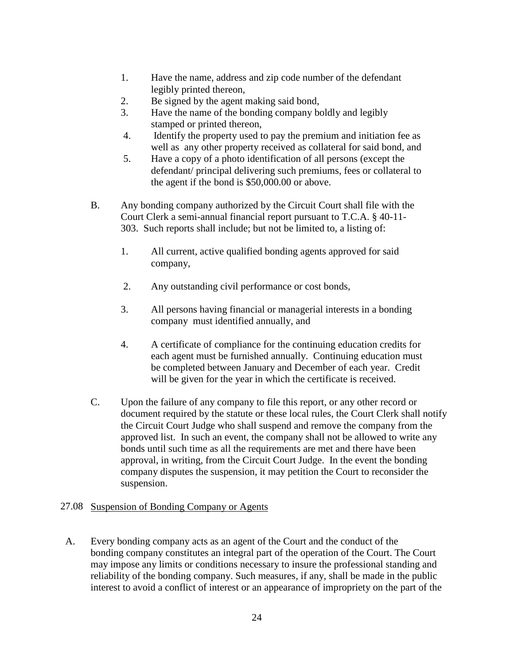- 1. Have the name, address and zip code number of the defendant legibly printed thereon,
- 2. Be signed by the agent making said bond,
- 3. Have the name of the bonding company boldly and legibly stamped or printed thereon,
- 4. Identify the property used to pay the premium and initiation fee as well as any other property received as collateral for said bond, and
- 5. Have a copy of a photo identification of all persons (except the defendant/ principal delivering such premiums, fees or collateral to the agent if the bond is \$50,000.00 or above.
- B. Any bonding company authorized by the Circuit Court shall file with the Court Clerk a semi-annual financial report pursuant to T.C.A. § 40-11- 303. Such reports shall include; but not be limited to, a listing of:
	- 1. All current, active qualified bonding agents approved for said company,
	- 2. Any outstanding civil performance or cost bonds,
	- 3. All persons having financial or managerial interests in a bonding company must identified annually, and
	- 4. A certificate of compliance for the continuing education credits for each agent must be furnished annually. Continuing education must be completed between January and December of each year. Credit will be given for the year in which the certificate is received.
- C. Upon the failure of any company to file this report, or any other record or document required by the statute or these local rules, the Court Clerk shall notify the Circuit Court Judge who shall suspend and remove the company from the approved list. In such an event, the company shall not be allowed to write any bonds until such time as all the requirements are met and there have been approval, in writing, from the Circuit Court Judge. In the event the bonding company disputes the suspension, it may petition the Court to reconsider the suspension.

# 27.08 Suspension of Bonding Company or Agents

 A. Every bonding company acts as an agent of the Court and the conduct of the bonding company constitutes an integral part of the operation of the Court. The Court may impose any limits or conditions necessary to insure the professional standing and reliability of the bonding company. Such measures, if any, shall be made in the public interest to avoid a conflict of interest or an appearance of impropriety on the part of the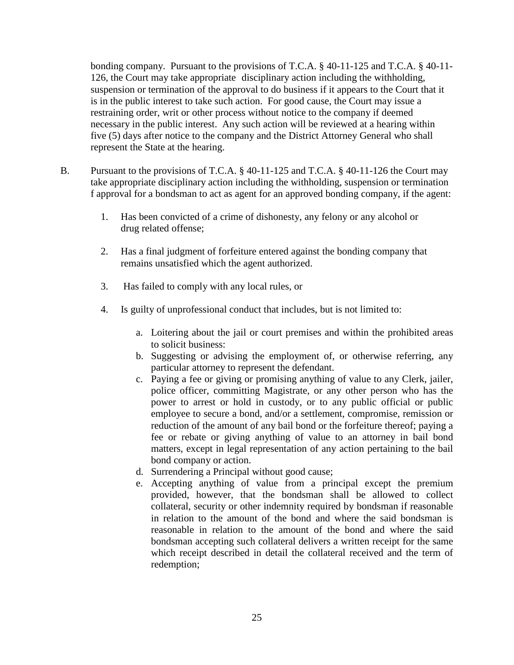bonding company. Pursuant to the provisions of T.C.A. § 40-11-125 and T.C.A. § 40-11- 126, the Court may take appropriate disciplinary action including the withholding, suspension or termination of the approval to do business if it appears to the Court that it is in the public interest to take such action. For good cause, the Court may issue a restraining order, writ or other process without notice to the company if deemed necessary in the public interest. Any such action will be reviewed at a hearing within five (5) days after notice to the company and the District Attorney General who shall represent the State at the hearing.

- B. Pursuant to the provisions of T.C.A. § 40-11-125 and T.C.A. § 40-11-126 the Court may take appropriate disciplinary action including the withholding, suspension or termination f approval for a bondsman to act as agent for an approved bonding company, if the agent:
	- 1. Has been convicted of a crime of dishonesty, any felony or any alcohol or drug related offense;
	- 2. Has a final judgment of forfeiture entered against the bonding company that remains unsatisfied which the agent authorized.
	- 3. Has failed to comply with any local rules, or
	- 4. Is guilty of unprofessional conduct that includes, but is not limited to:
		- a. Loitering about the jail or court premises and within the prohibited areas to solicit business:
		- b. Suggesting or advising the employment of, or otherwise referring, any particular attorney to represent the defendant.
		- c. Paying a fee or giving or promising anything of value to any Clerk, jailer, police officer, committing Magistrate, or any other person who has the power to arrest or hold in custody, or to any public official or public employee to secure a bond, and/or a settlement, compromise, remission or reduction of the amount of any bail bond or the forfeiture thereof; paying a fee or rebate or giving anything of value to an attorney in bail bond matters, except in legal representation of any action pertaining to the bail bond company or action.
		- d. Surrendering a Principal without good cause;
		- e. Accepting anything of value from a principal except the premium provided, however, that the bondsman shall be allowed to collect collateral, security or other indemnity required by bondsman if reasonable in relation to the amount of the bond and where the said bondsman is reasonable in relation to the amount of the bond and where the said bondsman accepting such collateral delivers a written receipt for the same which receipt described in detail the collateral received and the term of redemption;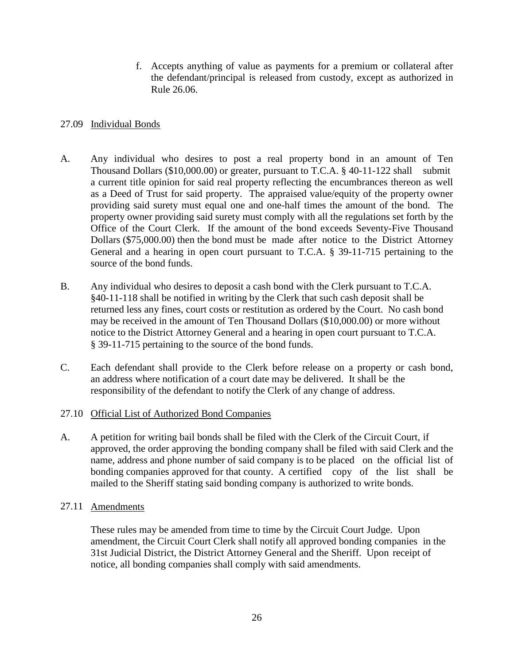f. Accepts anything of value as payments for a premium or collateral after the defendant/principal is released from custody, except as authorized in Rule 26.06.

# 27.09 Individual Bonds

- A. Any individual who desires to post a real property bond in an amount of Ten Thousand Dollars (\$10,000.00) or greater, pursuant to T.C.A.  $§$  40-11-122 shall submit a current title opinion for said real property reflecting the encumbrances thereon as well as a Deed of Trust for said property. The appraised value/equity of the property owner providing said surety must equal one and one-half times the amount of the bond. The property owner providing said surety must comply with all the regulations set forth by the Office of the Court Clerk. If the amount of the bond exceeds Seventy-Five Thousand Dollars (\$75,000.00) then the bond must be made after notice to the District Attorney General and a hearing in open court pursuant to T.C.A. § 39-11-715 pertaining to the source of the bond funds.
- B. Any individual who desires to deposit a cash bond with the Clerk pursuant to T.C.A. §40-11-118 shall be notified in writing by the Clerk that such cash deposit shall be returned less any fines, court costs or restitution as ordered by the Court. No cash bond may be received in the amount of Ten Thousand Dollars (\$10,000.00) or more without notice to the District Attorney General and a hearing in open court pursuant to T.C.A. § 39-11-715 pertaining to the source of the bond funds.
- C. Each defendant shall provide to the Clerk before release on a property or cash bond, an address where notification of a court date may be delivered. It shall be the responsibility of the defendant to notify the Clerk of any change of address.
- 27.10 Official List of Authorized Bond Companies
- A. A petition for writing bail bonds shall be filed with the Clerk of the Circuit Court, if approved, the order approving the bonding company shall be filed with said Clerk and the name, address and phone number of said company is to be placed on the official list of bonding companies approved for that county. A certified copy of the list shall be mailed to the Sheriff stating said bonding company is authorized to write bonds.

# 27.11 Amendments

These rules may be amended from time to time by the Circuit Court Judge. Upon amendment, the Circuit Court Clerk shall notify all approved bonding companies in the 31st Judicial District, the District Attorney General and the Sheriff. Upon receipt of notice, all bonding companies shall comply with said amendments.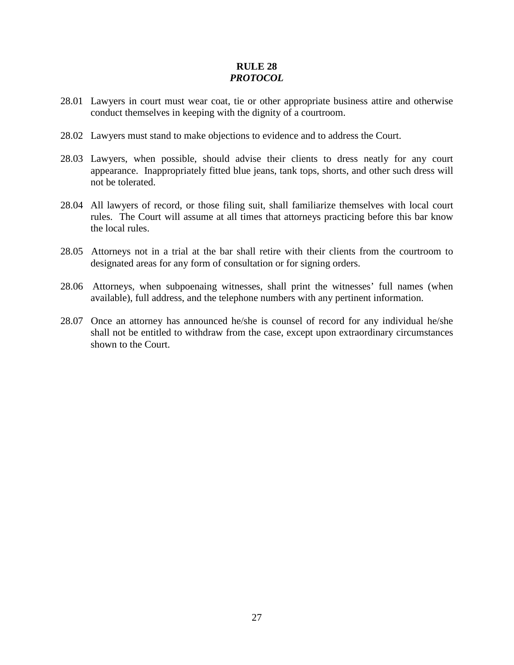# **RULE 28** *PROTOCOL*

- 28.01 Lawyers in court must wear coat, tie or other appropriate business attire and otherwise conduct themselves in keeping with the dignity of a courtroom.
- 28.02 Lawyers must stand to make objections to evidence and to address the Court.
- 28.03 Lawyers, when possible, should advise their clients to dress neatly for any court appearance. Inappropriately fitted blue jeans, tank tops, shorts, and other such dress will not be tolerated.
- 28.04 All lawyers of record, or those filing suit, shall familiarize themselves with local court rules. The Court will assume at all times that attorneys practicing before this bar know the local rules.
- 28.05 Attorneys not in a trial at the bar shall retire with their clients from the courtroom to designated areas for any form of consultation or for signing orders.
- 28.06 Attorneys, when subpoenaing witnesses, shall print the witnesses' full names (when available), full address, and the telephone numbers with any pertinent information.
- 28.07 Once an attorney has announced he/she is counsel of record for any individual he/she shall not be entitled to withdraw from the case, except upon extraordinary circumstances shown to the Court.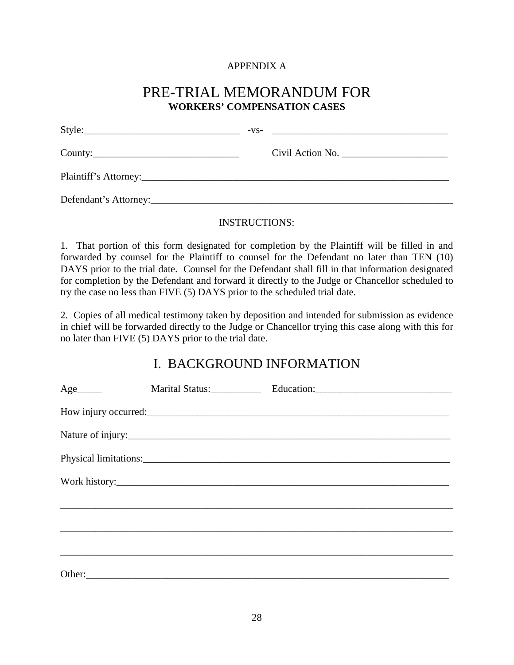# APPENDIX A

# PRE-TRIAL MEMORANDUM FOR **WORKERS' COMPENSATION CASES**

|                       | $-VS$ - |
|-----------------------|---------|
|                       |         |
|                       |         |
| Defendant's Attorney: |         |

# INSTRUCTIONS:

1. That portion of this form designated for completion by the Plaintiff will be filled in and forwarded by counsel for the Plaintiff to counsel for the Defendant no later than TEN (10) DAYS prior to the trial date. Counsel for the Defendant shall fill in that information designated for completion by the Defendant and forward it directly to the Judge or Chancellor scheduled to try the case no less than FIVE (5) DAYS prior to the scheduled trial date.

2. Copies of all medical testimony taken by deposition and intended for submission as evidence in chief will be forwarded directly to the Judge or Chancellor trying this case along with this for no later than FIVE (5) DAYS prior to the trial date.

# I. BACKGROUND INFORMATION

|  | Nature of injury: |
|--|-------------------|
|  |                   |
|  |                   |
|  |                   |
|  |                   |
|  |                   |
|  |                   |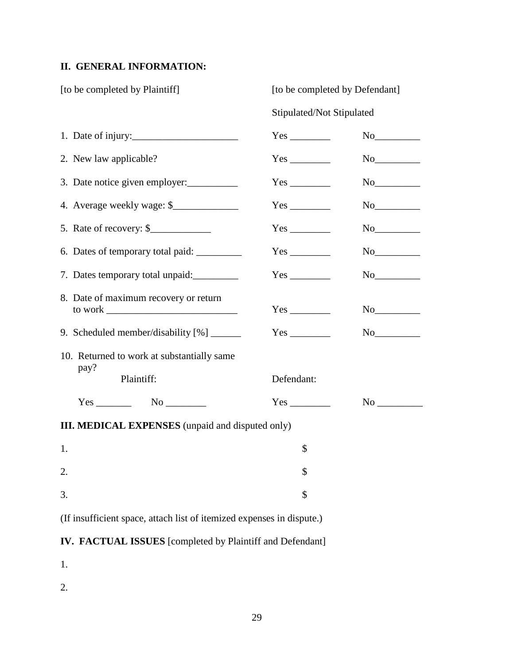# **II. GENERAL INFORMATION:**

| [to be completed by Plaintiff]                                        | [to be completed by Defendant]   |  |  |
|-----------------------------------------------------------------------|----------------------------------|--|--|
|                                                                       | Stipulated/Not Stipulated        |  |  |
| 1. Date of injury:                                                    |                                  |  |  |
| 2. New law applicable?                                                |                                  |  |  |
| 3. Date notice given employer:                                        |                                  |  |  |
| 4. Average weekly wage: \$                                            |                                  |  |  |
| 5. Rate of recovery: $\frac{1}{2}$                                    |                                  |  |  |
|                                                                       |                                  |  |  |
| 7. Dates temporary total unpaid:                                      |                                  |  |  |
| 8. Date of maximum recovery or return                                 |                                  |  |  |
|                                                                       |                                  |  |  |
| 10. Returned to work at substantially same                            |                                  |  |  |
| pay?<br>Plaintiff:                                                    | Defendant:                       |  |  |
| $Yes$ No $\_\_\_\_\_\$                                                | $Yes$ <sub>_______________</sub> |  |  |
| <b>III. MEDICAL EXPENSES</b> (unpaid and disputed only)               |                                  |  |  |
| 1.                                                                    | \$                               |  |  |
| 2.                                                                    | \$                               |  |  |
| 3.                                                                    | \$                               |  |  |
| (If insufficient space, attach list of itemized expenses in dispute.) |                                  |  |  |

# **IV. FACTUAL ISSUES** [completed by Plaintiff and Defendant]

1.

2.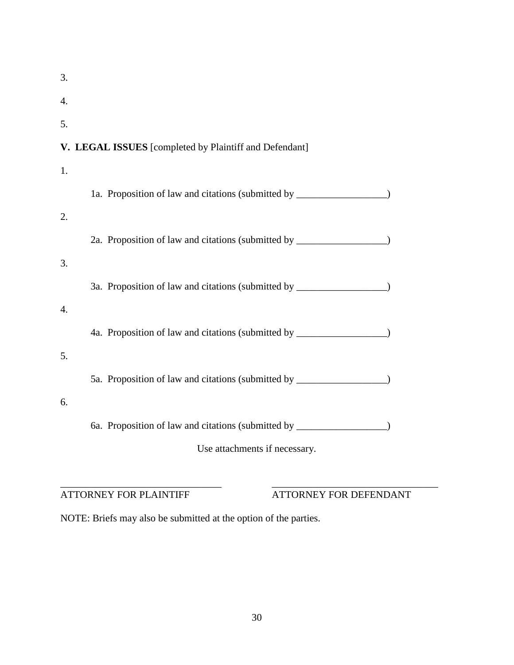| 3. |                                                                                  |
|----|----------------------------------------------------------------------------------|
| 4. |                                                                                  |
| 5. |                                                                                  |
|    | V. LEGAL ISSUES [completed by Plaintiff and Defendant]                           |
| 1. |                                                                                  |
|    | 1a. Proposition of law and citations (submitted by _____________________________ |
| 2. |                                                                                  |
|    | 2a. Proposition of law and citations (submitted by _____________________________ |
| 3. |                                                                                  |
|    | 3a. Proposition of law and citations (submitted by _____________________________ |
| 4. |                                                                                  |
|    | 4a. Proposition of law and citations (submitted by _____________________________ |
| 5. |                                                                                  |
|    | 5a. Proposition of law and citations (submitted by _____________________________ |
| 6. |                                                                                  |
|    | 6a. Proposition of law and citations (submitted by _____________________________ |
|    | Use attachments if necessary.                                                    |
|    |                                                                                  |

\_\_\_\_\_\_\_\_\_\_\_\_\_\_\_\_\_\_\_\_\_\_\_\_\_\_\_\_\_\_\_\_ \_\_\_\_\_\_\_\_\_\_\_\_\_\_\_\_\_\_\_\_\_\_\_\_\_\_\_\_\_\_\_\_\_ ATTORNEY FOR PLAINTIFF ATTORNEY FOR DEFENDANT

NOTE: Briefs may also be submitted at the option of the parties.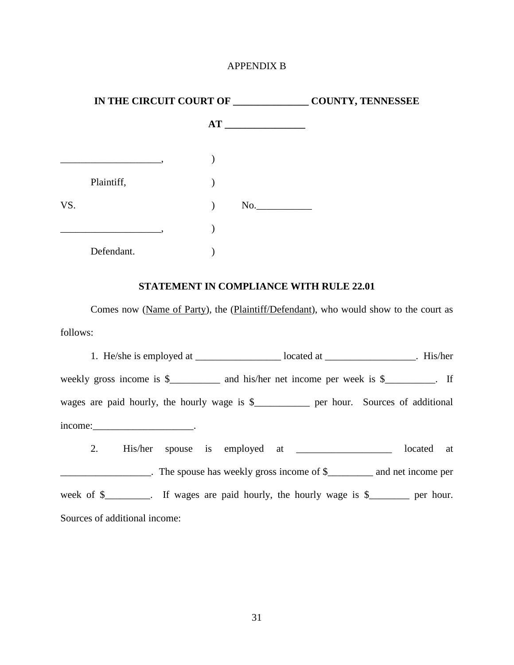### APPENDIX B

|     | IN THE CIRCUIT COURT OF | <b>COUNTY, TENNESSEE</b> |     |
|-----|-------------------------|--------------------------|-----|
|     |                         |                          | AT  |
|     |                         |                          |     |
|     | Plaintiff,              |                          |     |
| VS. |                         |                          | No. |
|     |                         |                          |     |
|     | Defendant.              |                          |     |

#### **STATEMENT IN COMPLIANCE WITH RULE 22.01**

Comes now (Name of Party), the (Plaintiff/Defendant), who would show to the court as follows:

1. He/she is employed at \_\_\_\_\_\_\_\_\_\_\_\_\_\_\_\_\_ located at \_\_\_\_\_\_\_\_\_\_\_\_\_\_\_\_\_\_. His/her weekly gross income is \$\_\_\_\_\_\_\_\_ and his/her net income per week is \$\_\_\_\_\_\_\_\_. If wages are paid hourly, the hourly wage is \$\_\_\_\_\_\_\_\_\_\_\_\_ per hour. Sources of additional income:\_\_\_\_\_\_\_\_\_\_\_\_\_\_\_\_\_\_\_\_\_\_\_\_\_\_\_. 2. His/her spouse is employed at \_\_\_\_\_\_\_\_\_\_\_\_\_\_\_\_\_\_\_\_ located at \_\_\_\_\_\_\_\_\_\_\_\_\_\_\_\_\_\_. The spouse has weekly gross income of \$\_\_\_\_\_\_\_\_\_ and net income per week of \$\_\_\_\_\_\_\_\_. If wages are paid hourly, the hourly wage is \$\_\_\_\_\_\_\_\_ per hour. Sources of additional income: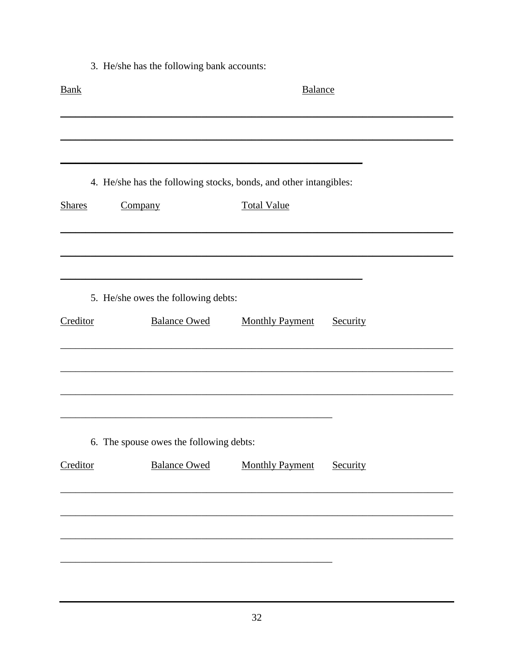3. He/she has the following bank accounts: **Bank** Balance L. 4. He/she has the following stocks, bonds, and other intangibles: Company **Total Value** Shares 5. He/she owes the following debts: Creditor **Balance Owed Monthly Payment** Security 6. The spouse owes the following debts: **Balance Owed** Creditor **Monthly Payment** Security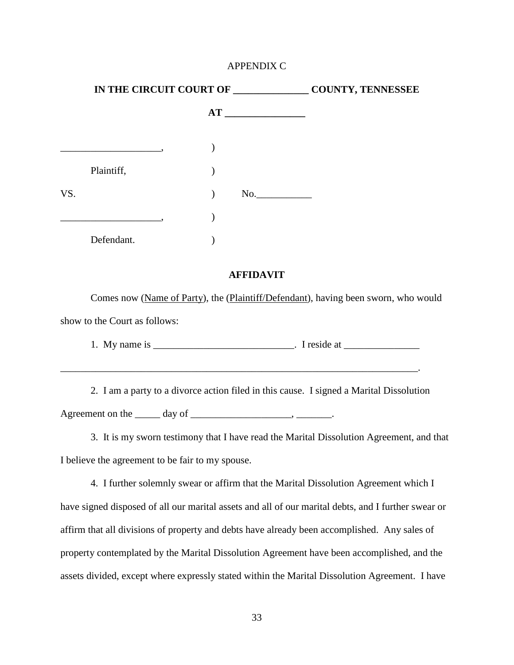#### APPENDIX C

| IN THE CIRCUIT COURT OF |            |  | <b>COUNTY, TENNESSEE</b> |  |
|-------------------------|------------|--|--------------------------|--|
|                         |            |  | AT                       |  |
|                         |            |  |                          |  |
|                         | Plaintiff, |  |                          |  |
| VS.                     |            |  | No.                      |  |
|                         |            |  |                          |  |
|                         | Defendant. |  |                          |  |

#### **AFFIDAVIT**

Comes now (Name of Party), the (Plaintiff/Defendant), having been sworn, who would show to the Court as follows:

1. My name is  $\frac{1}{\sqrt{1-\frac{1}{2}}}\$ . I reside at  $\frac{1}{\sqrt{1-\frac{1}{2}}}\$ 

2. I am a party to a divorce action filed in this cause. I signed a Marital Dissolution Agreement on the  $\_\_\_\_$  day of  $\_\_\_\_\_\_\_\_\_\_$ .

\_\_\_\_\_\_\_\_\_\_\_\_\_\_\_\_\_\_\_\_\_\_\_\_\_\_\_\_\_\_\_\_\_\_\_\_\_\_\_\_\_\_\_\_\_\_\_\_\_\_\_\_\_\_\_\_\_\_\_\_\_\_\_\_\_\_\_\_\_\_\_.

3. It is my sworn testimony that I have read the Marital Dissolution Agreement, and that I believe the agreement to be fair to my spouse.

4. I further solemnly swear or affirm that the Marital Dissolution Agreement which I have signed disposed of all our marital assets and all of our marital debts, and I further swear or affirm that all divisions of property and debts have already been accomplished. Any sales of property contemplated by the Marital Dissolution Agreement have been accomplished, and the assets divided, except where expressly stated within the Marital Dissolution Agreement. I have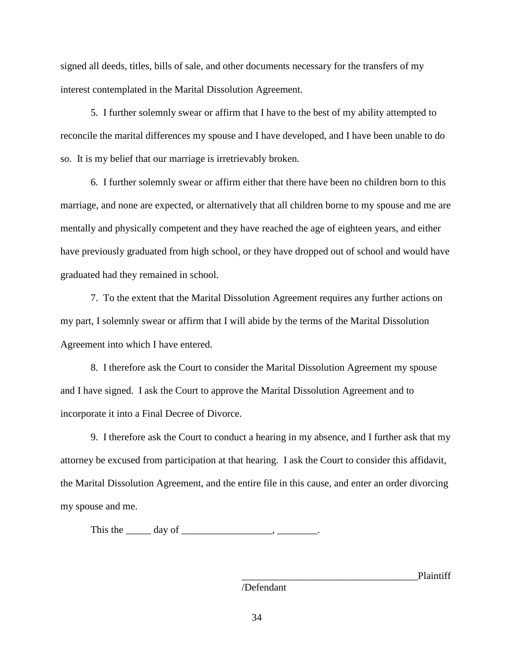signed all deeds, titles, bills of sale, and other documents necessary for the transfers of my interest contemplated in the Marital Dissolution Agreement.

5. I further solemnly swear or affirm that I have to the best of my ability attempted to reconcile the marital differences my spouse and I have developed, and I have been unable to do so. It is my belief that our marriage is irretrievably broken.

6. I further solemnly swear or affirm either that there have been no children born to this marriage, and none are expected, or alternatively that all children borne to my spouse and me are mentally and physically competent and they have reached the age of eighteen years, and either have previously graduated from high school, or they have dropped out of school and would have graduated had they remained in school.

7. To the extent that the Marital Dissolution Agreement requires any further actions on my part, I solemnly swear or affirm that I will abide by the terms of the Marital Dissolution Agreement into which I have entered.

8. I therefore ask the Court to consider the Marital Dissolution Agreement my spouse and I have signed. I ask the Court to approve the Marital Dissolution Agreement and to incorporate it into a Final Decree of Divorce.

9. I therefore ask the Court to conduct a hearing in my absence, and I further ask that my attorney be excused from participation at that hearing. I ask the Court to consider this affidavit, the Marital Dissolution Agreement, and the entire file in this cause, and enter an order divorcing my spouse and me.

This the  $\_\_\_\_$  day of  $\_\_\_\_\_\_\_\_\_$ .

\_\_\_\_\_\_\_\_\_\_\_\_\_\_\_\_\_\_\_\_\_\_\_\_\_\_\_\_\_\_\_\_\_\_\_Plaintiff

/Defendant